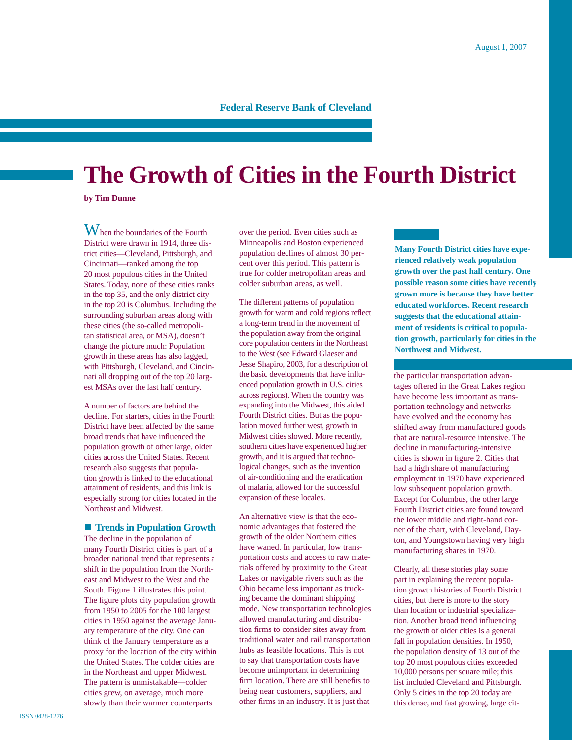### **Federal Reserve Bank of Cleveland**

# **The Growth of Cities in the Fourth District**

**by Tim Dunne**

 $W<sub>hen</sub>$  the boundaries of the Fourth District were drawn in 1914, three district cities—Cleveland, Pittsburgh, and Cincinnati—ranked among the top 20 most populous cities in the United States. Today, none of these cities ranks in the top 35, and the only district city in the top 20 is Columbus. Including the surrounding suburban areas along with these cities (the so-called metropolitan statistical area, or MSA), doesn't change the picture much: Population growth in these areas has also lagged, with Pittsburgh, Cleveland, and Cincinnati all dropping out of the top 20 largest MSAs over the last half century.

A number of factors are behind the decline. For starters, cities in the Fourth District have been affected by the same broad trends that have influenced the population growth of other large, older cities across the United States. Recent research also suggests that population growth is linked to the educational attainment of residents, and this link is especially strong for cities located in the Northeast and Midwest.

#### **■ Trends in Population Growth**

The decline in the population of many Fourth District cities is part of a broader national trend that represents a shift in the population from the Northeast and Midwest to the West and the South. Figure 1 illustrates this point. The figure plots city population growth from 1950 to 2005 for the 100 largest cities in 1950 against the average January temperature of the city. One can think of the January temperature as a proxy for the location of the city within the United States. The colder cities are in the Northeast and upper Midwest. The pattern is unmistakable—colder cities grew, on average, much more slowly than their warmer counterparts

over the period. Even cities such as Minneapolis and Boston experienced population declines of almost 30 percent over this period. This pattern is true for colder metropolitan areas and colder suburban areas, as well.

The different patterns of population growth for warm and cold regions reflect a long-term trend in the movement of the population away from the original core population centers in the Northeast to the West (see Edward Glaeser and Jesse Shapiro, 2003, for a description of the basic developments that have influenced population growth in U.S. cities across regions). When the country was expanding into the Midwest, this aided Fourth District cities. But as the population moved further west, growth in Midwest cities slowed. More recently, southern cities have experienced higher growth, and it is argued that technological changes, such as the invention of air-conditioning and the eradication of malaria, allowed for the successful expansion of these locales.

An alternative view is that the economic advantages that fostered the growth of the older Northern cities have waned. In particular, low transportation costs and access to raw materials offered by proximity to the Great Lakes or navigable rivers such as the Ohio became less important as trucking became the dominant shipping mode. New transportation technologies allowed manufacturing and distribution firms to consider sites away from traditional water and rail transportation hubs as feasible locations. This is not to say that transportation costs have become unimportant in determining firm location. There are still benefits to being near customers, suppliers, and other firms in an industry. It is just that

**Many Fourth District cities have experienced relatively weak population growth over the past half century. One possible reason some cities have recently grown more is because they have better educated workforces. Recent research suggests that the educational attainment of residents is critical to population growth, particularly for cities in the Northwest and Midwest.** 

the particular transportation advantages offered in the Great Lakes region have become less important as transportation technology and networks have evolved and the economy has shifted away from manufactured goods that are natural-resource intensive. The decline in manufacturing-intensive cities is shown in figure 2. Cities that had a high share of manufacturing employment in 1970 have experienced low subsequent population growth. Except for Columbus, the other large Fourth District cities are found toward the lower middle and right-hand corner of the chart, with Cleveland, Dayton, and Youngstown having very high manufacturing shares in 1970.

Clearly, all these stories play some part in explaining the recent population growth histories of Fourth District cities, but there is more to the story than location or industrial specialization. Another broad trend influencing the growth of older cities is a general fall in population densities. In 1950, the population density of 13 out of the top 20 most populous cities exceeded 10,000 persons per square mile; this list included Cleveland and Pittsburgh. Only 5 cities in the top 20 today are this dense, and fast growing, large cit-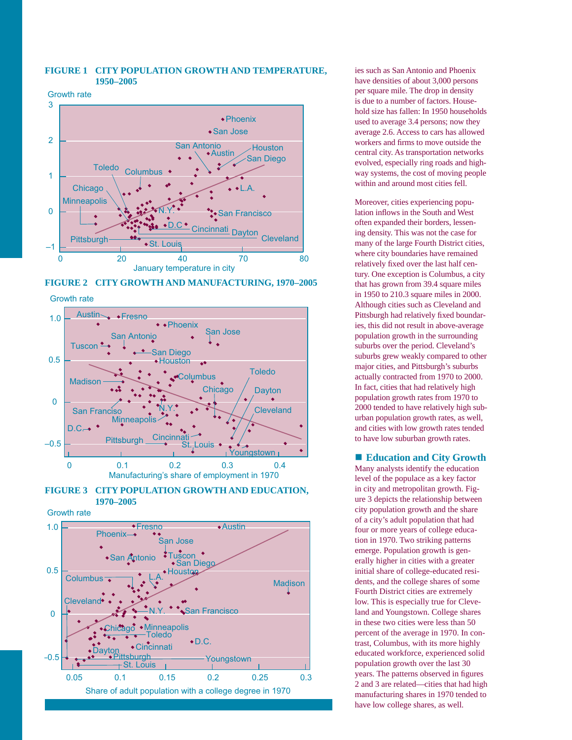#### **FIGURE 1 CITY POPULATION GROWTH AND TEMPERATURE, 1950–2005**

Growth rate





Growth rate









ies such as San Antonio and Phoenix have densities of about 3,000 persons per square mile. The drop in density is due to a number of factors. Household size has fallen: In 1950 households used to average 3.4 persons; now they average 2.6. Access to cars has allowed workers and firms to move outside the central city. As transportation networks evolved, especially ring roads and highway systems, the cost of moving people within and around most cities fell.

Moreover, cities experiencing population inflows in the South and West often expanded their borders, lessening density. This was not the case for many of the large Fourth District cities, where city boundaries have remained relatively fixed over the last half century. One exception is Columbus, a city that has grown from 39.4 square miles in 1950 to 210.3 square miles in 2000. Although cities such as Cleveland and Pittsburgh had relatively fixed boundaries, this did not result in above-average population growth in the surrounding suburbs over the period. Cleveland's suburbs grew weakly compared to other major cities, and Pittsburgh's suburbs actually contracted from 1970 to 2000. In fact, cities that had relatively high population growth rates from 1970 to 2000 tended to have relatively high suburban population growth rates, as well, and cities with low growth rates tended to have low suburban growth rates.

#### ■ Education and City Growth

Many analysts identify the education level of the populace as a key factor in city and metropolitan growth. Figure 3 depicts the relationship between city population growth and the share of a city's adult population that had four or more years of college education in 1970. Two striking patterns emerge. Population growth is generally higher in cities with a greater initial share of college-educated residents, and the college shares of some Fourth District cities are extremely low. This is especially true for Cleveland and Youngstown. College shares in these two cities were less than 50 percent of the average in 1970. In contrast, Columbus, with its more highly educated workforce, experienced solid population growth over the last 30 years. The patterns observed in figures 2 and 3 are related—cities that had high manufacturing shares in 1970 tended to have low college shares, as well.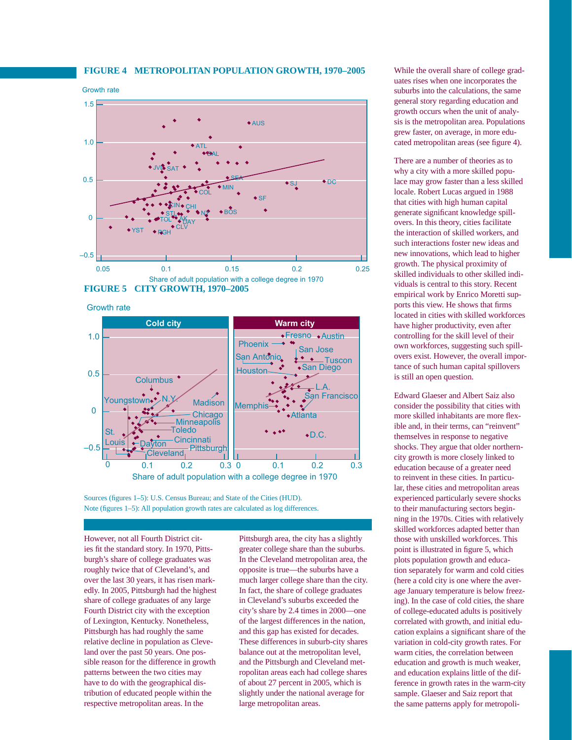#### **FIGURE 4 METROPOLITAN POPULATION GROWTH, 1970–2005**

#### Growth rate



Growth rate



Sources (figures 1–5): U.S. Census Bureau; and State of the Cities (HUD). Note (figures 1–5): All population growth rates are calculated as log differences.

However, not all Fourth District cities fit the standard story. In 1970, Pittsburgh's share of college graduates was roughly twice that of Cleveland's, and over the last 30 years, it has risen markedly. In 2005, Pittsburgh had the highest share of college graduates of any large Fourth District city with the exception of Lexington, Kentucky. Nonetheless, Pittsburgh has had roughly the same relative decline in population as Cleveland over the past 50 years. One possible reason for the difference in growth patterns between the two cities may have to do with the geographical distribution of educated people within the respective metropolitan areas. In the

Pittsburgh area, the city has a slightly greater college share than the suburbs. In the Cleveland metropolitan area, the opposite is true—the suburbs have a much larger college share than the city. In fact, the share of college graduates in Cleveland's suburbs exceeded the city's share by 2.4 times in 2000—one of the largest differences in the nation, and this gap has existed for decades. These differences in suburb-city shares balance out at the metropolitan level, and the Pittsburgh and Cleveland metropolitan areas each had college shares of about 27 percent in 2005, which is slightly under the national average for large metropolitan areas.

While the overall share of college graduates rises when one incorporates the suburbs into the calculations, the same general story regarding education and growth occurs when the unit of analysis is the metropolitan area. Populations grew faster, on average, in more educated metropolitan areas (see figure 4).

There are a number of theories as to why a city with a more skilled populace may grow faster than a less skilled locale. Robert Lucas argued in 1988 that cities with high human capital generate significant knowledge spillovers. In this theory, cities facilitate the interaction of skilled workers, and such interactions foster new ideas and new innovations, which lead to higher growth. The physical proximity of skilled individuals to other skilled individuals is central to this story. Recent empirical work by Enrico Moretti supports this view. He shows that firms located in cities with skilled workforces have higher productivity, even after controlling for the skill level of their own workforces, suggesting such spillovers exist. However, the overall importance of such human capital spillovers is still an open question.

Edward Glaeser and Albert Saiz also consider the possibility that cities with more skilled inhabitants are more flexible and, in their terms, can "reinvent" themselves in response to negative shocks. They argue that older northerncity growth is more closely linked to education because of a greater need to reinvent in these cities. In particular, these cities and metropolitan areas experienced particularly severe shocks to their manufacturing sectors beginning in the 1970s. Cities with relatively skilled workforces adapted better than those with unskilled workforces. This point is illustrated in figure 5, which plots population growth and education separately for warm and cold cities (here a cold city is one where the average January temperature is below freezing). In the case of cold cities, the share of college-educated adults is positively correlated with growth, and initial education explains a significant share of the variation in cold-city growth rates. For warm cities, the correlation between education and growth is much weaker, and education explains little of the difference in growth rates in the warm-city sample. Glaeser and Saiz report that the same patterns apply for metropoli-